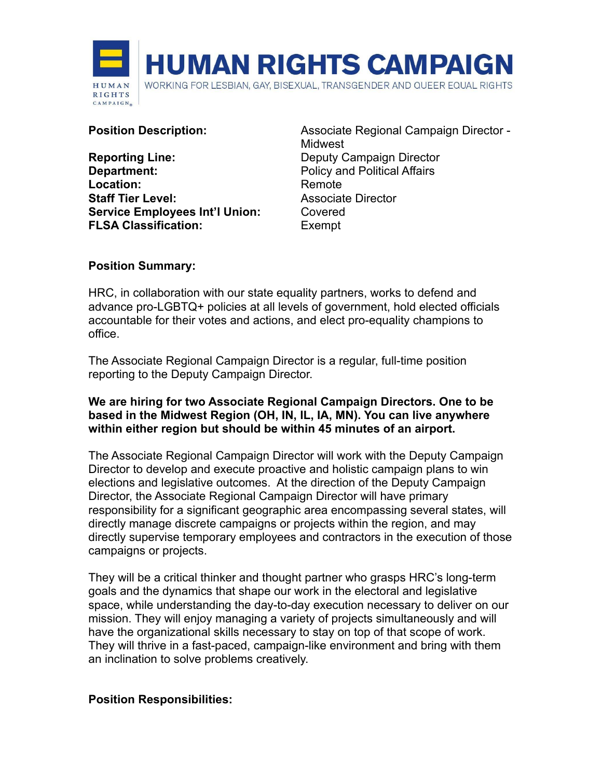

**Reporting Line:** Deputy Campaign Director **Department:** Policy and Political Affairs Location: Remote **Staff Tier Level:** Associate Director **Service Employees Int'l Union: Covered FLSA Classification:** Exempt

**Position Description:** Associate Regional Campaign Director -Midwest

### **Position Summary:**

HRC, in collaboration with our state equality partners, works to defend and advance pro-LGBTQ+ policies at all levels of government, hold elected officials accountable for their votes and actions, and elect pro-equality champions to office.

The Associate Regional Campaign Director is a regular, full-time position reporting to the Deputy Campaign Director.

#### **We are hiring for two Associate Regional Campaign Directors. One to be based in the Midwest Region (OH, IN, IL, IA, MN). You can live anywhere within either region but should be within 45 minutes of an airport.**

The Associate Regional Campaign Director will work with the Deputy Campaign Director to develop and execute proactive and holistic campaign plans to win elections and legislative outcomes. At the direction of the Deputy Campaign Director, the Associate Regional Campaign Director will have primary responsibility for a significant geographic area encompassing several states, will directly manage discrete campaigns or projects within the region, and may directly supervise temporary employees and contractors in the execution of those campaigns or projects.

They will be a critical thinker and thought partner who grasps HRC's long-term goals and the dynamics that shape our work in the electoral and legislative space, while understanding the day-to-day execution necessary to deliver on our mission. They will enjoy managing a variety of projects simultaneously and will have the organizational skills necessary to stay on top of that scope of work. They will thrive in a fast-paced, campaign-like environment and bring with them an inclination to solve problems creatively.

#### **Position Responsibilities:**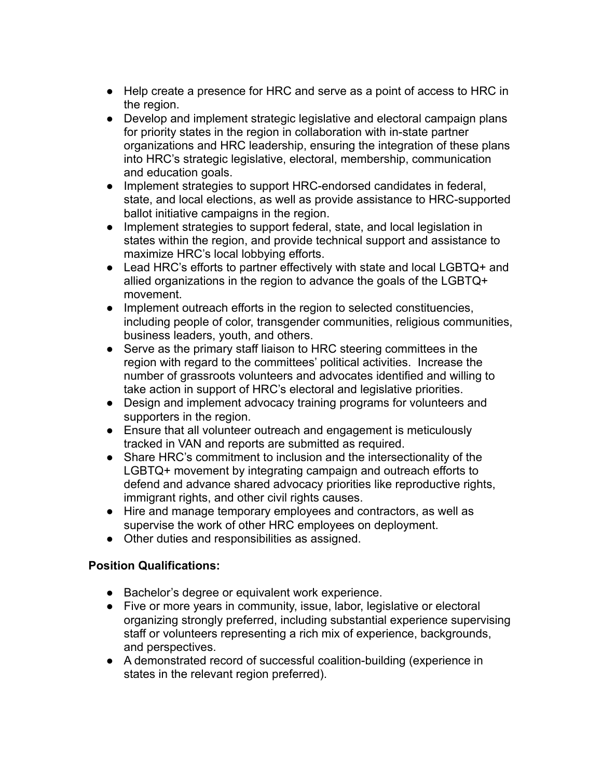- Help create a presence for HRC and serve as a point of access to HRC in the region.
- Develop and implement strategic legislative and electoral campaign plans for priority states in the region in collaboration with in-state partner organizations and HRC leadership, ensuring the integration of these plans into HRC's strategic legislative, electoral, membership, communication and education goals.
- Implement strategies to support HRC-endorsed candidates in federal, state, and local elections, as well as provide assistance to HRC-supported ballot initiative campaigns in the region.
- Implement strategies to support federal, state, and local legislation in states within the region, and provide technical support and assistance to maximize HRC's local lobbying efforts.
- Lead HRC's efforts to partner effectively with state and local LGBTQ+ and allied organizations in the region to advance the goals of the LGBTQ+ movement.
- Implement outreach efforts in the region to selected constituencies, including people of color, transgender communities, religious communities, business leaders, youth, and others.
- Serve as the primary staff liaison to HRC steering committees in the region with regard to the committees' political activities. Increase the number of grassroots volunteers and advocates identified and willing to take action in support of HRC's electoral and legislative priorities.
- Design and implement advocacy training programs for volunteers and supporters in the region.
- Ensure that all volunteer outreach and engagement is meticulously tracked in VAN and reports are submitted as required.
- Share HRC's commitment to inclusion and the intersectionality of the LGBTQ+ movement by integrating campaign and outreach efforts to defend and advance shared advocacy priorities like reproductive rights, immigrant rights, and other civil rights causes.
- Hire and manage temporary employees and contractors, as well as supervise the work of other HRC employees on deployment.
- Other duties and responsibilities as assigned.

## **Position Qualifications:**

- Bachelor's degree or equivalent work experience.
- Five or more years in community, issue, labor, legislative or electoral organizing strongly preferred, including substantial experience supervising staff or volunteers representing a rich mix of experience, backgrounds, and perspectives.
- A demonstrated record of successful coalition-building (experience in states in the relevant region preferred).